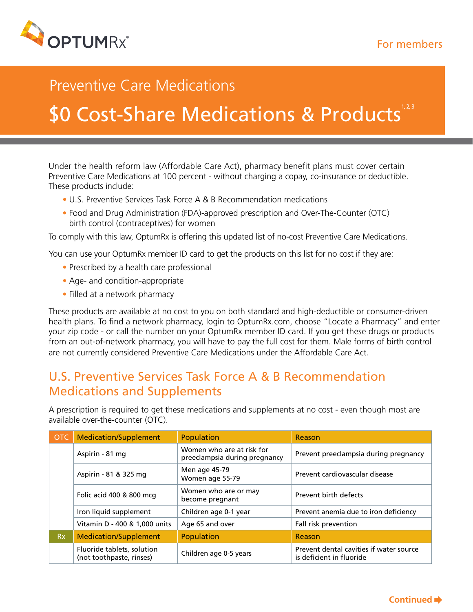

# Preventive Care Medications

# \$0 Cost-Share Medications & Products<sup>1,2,3</sup>

Under the health reform law (Affordable Care Act), pharmacy benefit plans must cover certain Preventive Care Medications at 100 percent - without charging a copay, co-insurance or deductible. These products include:

- U.S. Preventive Services Task Force A & B Recommendation medications
- Food and Drug Administration (FDA)-approved prescription and Over-The-Counter (OTC) birth control (contraceptives) for women

To comply with this law, OptumRx is offering this updated list of no-cost Preventive Care Medications.

You can use your OptumRx member ID card to get the products on this list for no cost if they are:

- Prescribed by a health care professional
- Age- and condition-appropriate
- Filled at a network pharmacy

These products are available at no cost to you on both standard and high-deductible or consumer-driven health plans. To find a network pharmacy, login to OptumRx.com, choose "Locate a Pharmacy" and enter your zip code - or call the number on your OptumRx member ID card. If you get these drugs or products from an out-of-network pharmacy, you will have to pay the full cost for them. Male forms of birth control are not currently considered Preventive Care Medications under the Affordable Care Act.

### U.S. Preventive Services Task Force A & B Recommendation Medications and Supplements

A prescription is required to get these medications and supplements at no cost - even though most are available over-the-counter (OTC).

| <b>OTC</b> | Medication/Supplement                                  | Population                                                 | Reason                                                              |
|------------|--------------------------------------------------------|------------------------------------------------------------|---------------------------------------------------------------------|
|            | Aspirin - 81 mg                                        | Women who are at risk for<br>preeclampsia during pregnancy | Prevent preeclampsia during pregnancy                               |
|            | Aspirin - 81 & 325 mg                                  | Men age 45-79<br>Women age 55-79                           | Prevent cardiovascular disease                                      |
|            | Folic acid 400 & 800 mcg                               | Women who are or may<br>become pregnant                    | Prevent birth defects                                               |
|            | Iron liquid supplement                                 | Children age 0-1 year                                      | Prevent anemia due to iron deficiency                               |
|            | Vitamin D - 400 & 1,000 units                          | Age 65 and over                                            | Fall risk prevention                                                |
| Rx.        | <b>Medication/Supplement</b>                           | <b>Population</b>                                          | Reason                                                              |
|            | Fluoride tablets, solution<br>(not toothpaste, rinses) | Children age 0-5 years                                     | Prevent dental cavities if water source<br>is deficient in fluoride |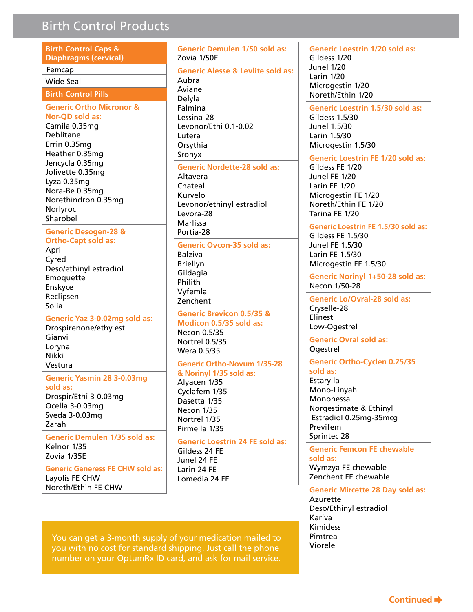### **Birth Control Products**

| <b>Birth Control Caps &amp;</b><br><b>Diaphragms (cervical)</b>                                                                                        | <b>Generic Demul</b><br>Zovia 1/50E                                                                                            |  |
|--------------------------------------------------------------------------------------------------------------------------------------------------------|--------------------------------------------------------------------------------------------------------------------------------|--|
| Femcap<br><b>Wide Seal</b>                                                                                                                             | <b>Generic Alesse</b><br>Aubra<br>Aviane<br>Delyla<br>Falmina<br>Lessina-28<br>Levonor/Ethi 0.<br>Lutera<br>Orsythia<br>Sronyx |  |
| <b>Birth Control Pills</b>                                                                                                                             |                                                                                                                                |  |
| <b>Generic Ortho Micronor &amp;</b><br>Nor-QD sold as:<br>Camila 0.35mg<br>Deblitane<br>Errin 0.35mg<br>Heather 0.35mg                                 |                                                                                                                                |  |
| Jencycla 0.35mg<br>Jolivette 0.35mg<br>Lyza 0.35mg<br>Nora-Be 0.35mg<br>Norethindron 0.35mg<br>Norlyroc<br>Sharobel                                    | <b>Generic Nordet</b><br>Altavera<br>Chateal<br>Kurvelo<br>Levonor/ethiny<br>Levora-28<br>Marlissa                             |  |
| <b>Generic Desogen-28 &amp;</b><br><b>Ortho-Cept sold as:</b><br>Apri<br>Cyred<br>Deso/ethinyl estradiol<br>Emoquette<br>Enskyce<br>Reclipsen<br>Solia | Portia-28<br><b>Generic Ovcon</b><br>Balziva<br><b>Briellyn</b><br>Gildagia<br>Philith<br>Vyfemla<br>Zenchent                  |  |
| Generic Yaz 3-0.02mg sold as:<br>Drospirenone/ethy est<br>Gianvi<br>Loryna<br><b>Nikki</b>                                                             | <b>Generic Brevice</b><br>Modicon 0.5/3<br>Necon 0.5/35<br>Nortrel 0.5/35<br>Wera 0.5/35                                       |  |
| Vestura                                                                                                                                                | <b>Generic Ortho-I</b>                                                                                                         |  |
| <b>Generic Yasmin 28 3-0.03mg</b><br>sold as:<br>Drospir/Ethi 3-0.03mg<br>Ocella 3-0.03mg<br>Syeda 3-0.03mg<br>Zarah                                   | & Norinyl 1/35<br>Alyacen 1/35<br>Cyclafem 1/35<br>Dasetta 1/35<br>Necon 1/35<br>Nortrel 1/35<br>Pirmella 1/35                 |  |
| <b>Generic Demulen 1/35 sold as:</b><br>Kelnor 1/35<br>Zovia 1/35E                                                                                     | <b>Generic Loestri</b><br>Gildess 24 FE<br>Junel 24 FE                                                                         |  |
| <b>Generic Generess FE CHW sold as:</b><br>Layolis FE CHW<br>Noreth/Ethin FE CHW                                                                       | Larin 24 FE<br>Lomedia 24 FE                                                                                                   |  |

ric Demulen 1/50 sold as: a 1/50E **Tric Alesse & Levlite sold as:** э. ٦e la. ina na-28 nor/Ethi 0.1-0.02 ra. thia VX. **Pric Nordette-28 sold as:** era eal elo nor/ethinyl estradiol ra-28 issal a-28 ric Ovcon-35 sold as: va lyn aqia ٠h mla hent **Pric Brevicon 0.5/35 &** icon 0.5/35 sold as: n 0.5/35 rel 0.5/35 a 0.5/35 ric Ortho-Novum 1/35-28 rinyl 1/35 sold as: cen 1/35 fem 1/35 tta 1/35 n 1/35 rel 1/35 ella 1/35 **Pric Loestrin 24 FE sold as:**  $\frac{24}{5}$  FE

**24 FE 24 FE** 

**Generic Loestrin 1/20 sold as:** Gildess 1/20 **Junel 1/20 Larin 1/20** Microgestin 1/20 Noreth/Ethin 1/20

**Generic Loestrin 1.5/30 sold as: Gildess 1.5/30** Junel 1.5/30 Larin 1.5/30 Microgestin 1.5/30

**Generic Loestrin FE 1/20 sold as:** Gildess FE 1/20 Junel FE 1/20 Larin FE 1/20

Microgestin FE 1/20 Noreth/Ethin FE 1/20 Tarina FE 1/20

**Generic Loestrin FE 1.5/30 sold as:** Gildess FE 1.5/30 Junel FE 1.5/30 Larin FE 1.5/30 Microgestin FE 1.5/30

Generic Norinyl 1+50-28 sold as: Necon 1/50-28

**Generic Lo/Ovral-28 sold as:** Cryselle-28 Elinest Low-Ogestrel

**Generic Ovral sold as:** Ogestrel

**Generic Ortho-Cyclen 0.25/35** sold as:

Estarylla Mono-Linyah Mononessa Norgestimate & Ethinyl Estradiol 0.25mg-35mcg Previfem Sprintec 28

**Generic Femcon FE chewable** sold as: Wymzya FE chewable Zenchent FE chewable

**Generic Mircette 28 Day sold as:** Azurette Deso/Ethinyl estradiol Kariva **Kimidess** Pimtrea Viorele

You can get a 3-month supply of your medication mailed to you with no cost for standard shipping. Just call the phone number on your OptumRx ID card, and ask for mail service.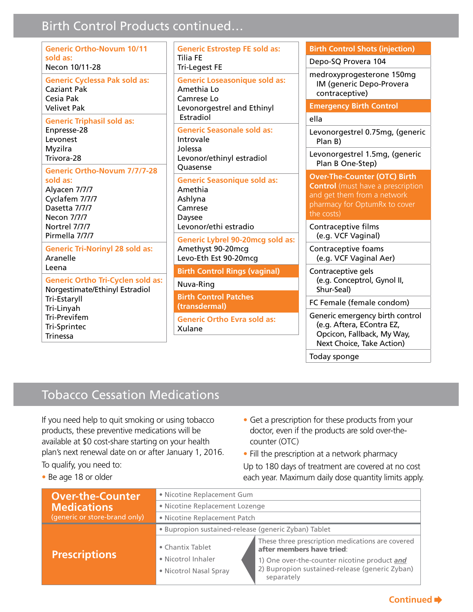### **Birth Control Products continued...**

| <b>Generic Ortho-Novum 10/11</b><br>sold as:<br>Necon 10/11-28                                                               | <b>Generic Estrostep FE so</b><br>Tilia FE<br><b>Tri-Legest FE</b>                                |
|------------------------------------------------------------------------------------------------------------------------------|---------------------------------------------------------------------------------------------------|
| <b>Generic Cyclessa Pak sold as:</b><br><b>Caziant Pak</b><br>Cesia Pak<br><b>Velivet Pak</b>                                | <b>Generic Loseasonique s</b><br>Amethia Lo<br>Camrese Lo<br>Levonorgestrel and Eth<br>Estradiol  |
| <b>Generic Triphasil sold as:</b><br>Enpresse-28<br>Levonest<br>Myzilra<br>Trivora-28<br><b>Generic Ortho-Novum 7/7/7-28</b> | <b>Generic Seasonale sold</b><br>Introvale<br>Jolessa<br>Levonor/ethinyl estradi<br>Quasense      |
| sold as:<br>Alyacen 7/7/7<br>Cyclafem 7/7/7<br>Dasetta 7/7/7<br>Necon 7/7/7<br>Nortrel 7/7/7                                 | <b>Generic Seasonique sol</b><br>Amethia<br>Ashlyna<br>Camrese<br>Daysee<br>Levonor/ethi estradio |
| Pirmella 7/7/7<br><b>Generic Tri-Norinyl 28 sold as:</b><br>Aranelle                                                         | <b>Generic Lybrel 90-20mc</b><br>Amethyst 90-20mcg<br>Levo-Eth Est 90-20mcg                       |
| Leena                                                                                                                        | <b>Birth Control Rings (vag</b>                                                                   |
| <b>Generic Ortho Tri-Cyclen sold as:</b><br>Norgestimate/Ethinyl Estradiol                                                   | Nuva-Ring                                                                                         |
| Tri-Estaryll<br>Tri-Linyah                                                                                                   | <b>Birth Control Patches</b><br>(transdermal)                                                     |
| <b>Tri-Previfem</b><br>Tri-Sprintec<br><b>Trinessa</b>                                                                       | <b>Generic Ortho Evra sold</b><br>Xulane                                                          |
|                                                                                                                              |                                                                                                   |

**d** as: sold as: inyl as: ol ld as: g sold as: ginal)

d as:

**Birth Control Shots (injection)** 

Depo-SQ Provera 104

medroxyprogesterone 150mg IM (generic Depo-Provera contraceptive)

**Emergency Birth Control** 

#### ella

Levonorgestrel 0.75mg, (generic Plan B)

Levonorgestrel 1.5mg, (generic Plan B One-Step)

**Over-The-Counter (OTC) Birth Control** (must have a prescription and get them from a network pharmacy for OptumRx to cover the costs)

Contraceptive films (e.g. VCF Vaginal)

Contraceptive foams (e.g. VCF Vaginal Aer)

Contraceptive gels (e.g. Conceptrol, Gynol II, Shur-Seal)

FC Female (female condom)

Generic emergency birth control (e.g. Aftera, EContra EZ, Opcicon, Fallback, My Way, Next Choice, Take Action)

Today sponge

### **Tobacco Cessation Medications**

If you need help to quit smoking or using tobacco products, these preventive medications will be available at \$0 cost-share starting on your health plan's next renewal date on or after January 1, 2016. To qualify, you need to:

- Get a prescription for these products from your doctor, even if the products are sold over-thecounter (OTC)
- Fill the prescription at a network pharmacy Up to 180 days of treatment are covered at no cost each year. Maximum daily dose quantity limits apply.

• Be age 18 or older

| <b>Over-the-Counter</b>       | · Nicotine Replacement Gum                                                                        |  |  |
|-------------------------------|---------------------------------------------------------------------------------------------------|--|--|
| <b>Medications</b>            | · Nicotine Replacement Lozenge                                                                    |  |  |
| (generic or store-brand only) | • Nicotine Replacement Patch                                                                      |  |  |
|                               | · Bupropion sustained-release (generic Zyban) Tablet                                              |  |  |
| <b>Prescriptions</b>          | These three prescription medications are covered<br>• Chantix Tablet<br>after members have tried: |  |  |
|                               | • Nicotrol Inhaler<br>1) One over-the-counter nicotine product and                                |  |  |
|                               | 2) Bupropion sustained-release (generic Zyban)<br>• Nicotrol Nasal Spray<br>separately            |  |  |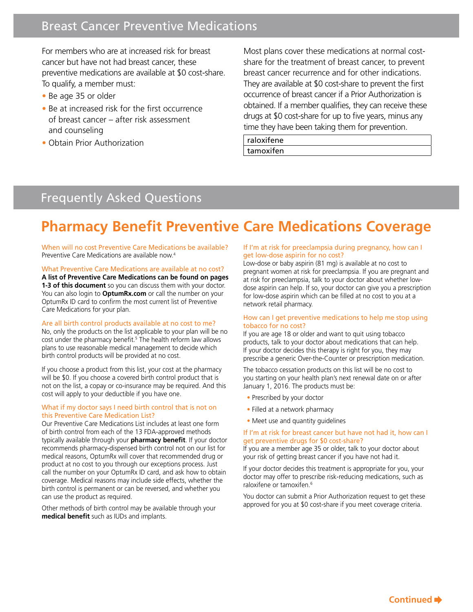### Breast Cancer Preventive Medications

For members who are at increased risk for breast cancer but have not had breast cancer, these preventive medications are available at \$0 cost-share. To qualify, a member must:

- Be age 35 or older
- Be at increased risk for the first occurrence of breast cancer – after risk assessment and counseling
- Obtain Prior Authorization

Most plans cover these medications at normal costshare for the treatment of breast cancer, to prevent breast cancer recurrence and for other indications. They are available at \$0 cost-share to prevent the first occurrence of breast cancer if a Prior Authorization is obtained. If a member qualifies, they can receive these drugs at \$0 cost-share for up to five years, minus any time they have been taking them for prevention.

raloxifene tamoxifen

### Frequently Asked Questions

## **Pharmacy Benefit Preventive Care Medications Coverage**

When will no cost Preventive Care Medications be available? Preventive Care Medications are available now.4

#### What Preventive Care Medications are available at no cost?

**A list of Preventive Care Medications can be found on pages 1-3 of this document** so you can discuss them with your doctor. You can also login to **OptumRx.com** or call the number on your OptumRx ID card to confirm the most current list of Preventive Care Medications for your plan.

#### Are all birth control products available at no cost to me?

No, only the products on the list applicable to your plan will be no cost under the pharmacy benefit.<sup>5</sup> The health reform law allows plans to use reasonable medical management to decide which birth control products will be provided at no cost.

If you choose a product from this list, your cost at the pharmacy will be \$0. If you choose a covered birth control product that is not on the list, a copay or co-insurance may be required. And this cost will apply to your deductible if you have one.

#### What if my doctor says I need birth control that is not on this Preventive Care Medication List?

Our Preventive Care Medications List includes at least one form of birth control from each of the 13 FDA-approved methods typically available through your **pharmacy benefit**. If your doctor recommends pharmacy-dispensed birth control not on our list for medical reasons, OptumRx will cover that recommended drug or product at no cost to you through our exceptions process. Just call the number on your OptumRx ID card, and ask how to obtain coverage. Medical reasons may include side effects, whether the birth control is permanent or can be reversed, and whether you can use the product as required.

Other methods of birth control may be available through your **medical benefit** such as IUDs and implants.

#### If I'm at risk for preeclampsia during pregnancy, how can I get low-dose aspirin for no cost?

Low-dose or baby aspirin (81 mg) is available at no cost to pregnant women at risk for preeclampsia. If you are pregnant and at risk for preeclampsia, talk to your doctor about whether lowdose aspirin can help. If so, your doctor can give you a prescription for low-dose aspirin which can be filled at no cost to you at a network retail pharmacy.

#### How can I get preventive medications to help me stop using tobacco for no cost?

If you are age 18 or older and want to quit using tobacco products, talk to your doctor about medications that can help. If your doctor decides this therapy is right for you, they may prescribe a generic Over-the-Counter or prescription medication.

The tobacco cessation products on this list will be no cost to you starting on your health plan's next renewal date on or after January 1, 2016. The products must be:

- Prescribed by your doctor
- Filled at a network pharmacy
- Meet use and quantity guidelines

#### If I'm at risk for breast cancer but have not had it, how can I get preventive drugs for \$0 cost-share?

If you are a member age 35 or older, talk to your doctor about your risk of getting breast cancer if you have not had it.

If your doctor decides this treatment is appropriate for you, your doctor may offer to prescribe risk-reducing medications, such as raloxifene or tamoxifen.<sup>6</sup>

You doctor can submit a Prior Authorization request to get these approved for you at \$0 cost-share if you meet coverage criteria.